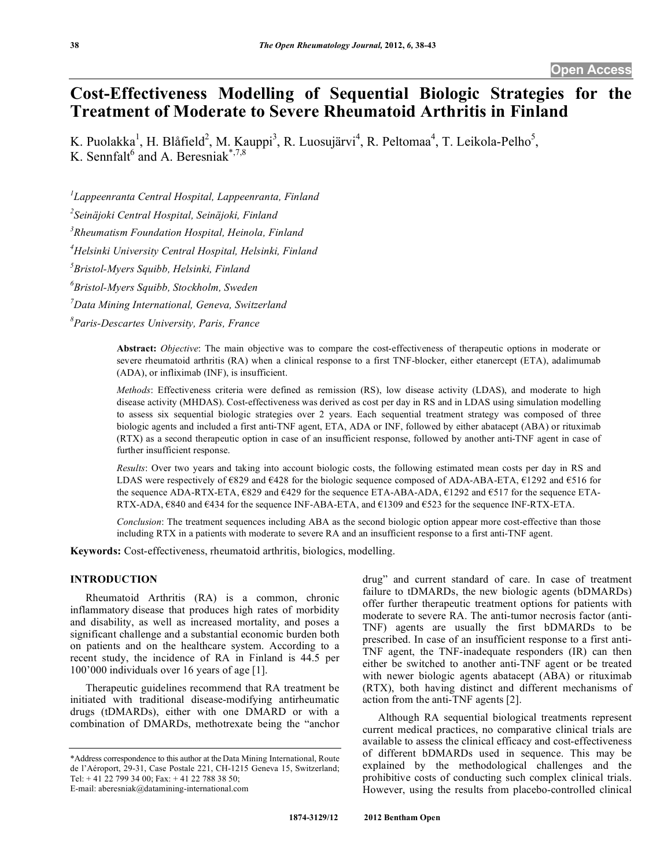# **Cost-Effectiveness Modelling of Sequential Biologic Strategies for the Treatment of Moderate to Severe Rheumatoid Arthritis in Finland**

K. Puolakka<sup>1</sup>, H. Blåfield<sup>2</sup>, M. Kauppi<sup>3</sup>, R. Luosujärvi<sup>4</sup>, R. Peltomaa<sup>4</sup>, T. Leikola-Pelho<sup>5</sup>, K. Sennfalt<sup>6</sup> and A. Beresniak<sup>\*,7,8</sup>

*1 Lappeenranta Central Hospital, Lappeenranta, Finland* 

*2 Seinäjoki Central Hospital, Seinäjoki, Finland* 

*3 Rheumatism Foundation Hospital, Heinola, Finland* 

*4 Helsinki University Central Hospital, Helsinki, Finland* 

*5 Bristol-Myers Squibb, Helsinki, Finland* 

*6 Bristol-Myers Squibb, Stockholm, Sweden* 

*7 Data Mining International, Geneva, Switzerland* 

*8 Paris-Descartes University, Paris, France* 

**Abstract:** *Objective*: The main objective was to compare the cost-effectiveness of therapeutic options in moderate or severe rheumatoid arthritis (RA) when a clinical response to a first TNF-blocker, either etanercept (ETA), adalimumab (ADA), or infliximab (INF), is insufficient.

*Methods*: Effectiveness criteria were defined as remission (RS), low disease activity (LDAS), and moderate to high disease activity (MHDAS). Cost-effectiveness was derived as cost per day in RS and in LDAS using simulation modelling to assess six sequential biologic strategies over 2 years. Each sequential treatment strategy was composed of three biologic agents and included a first anti-TNF agent, ETA, ADA or INF, followed by either abatacept (ABA) or rituximab (RTX) as a second therapeutic option in case of an insufficient response, followed by another anti-TNF agent in case of further insufficient response.

*Results*: Over two years and taking into account biologic costs, the following estimated mean costs per day in RS and LDAS were respectively of  $\epsilon$ 829 and  $\epsilon$ 428 for the biologic sequence composed of ADA-ABA-ETA,  $\epsilon$ 1292 and  $\epsilon$ 516 for the sequence ADA-RTX-ETA,  $E$ 829 and  $E$ 429 for the sequence ETA-ABA-ADA,  $E$ 1292 and  $E$ 517 for the sequence ETA-RTX-ADA,  $6840$  and  $6434$  for the sequence INF-ABA-ETA, and  $61309$  and  $6523$  for the sequence INF-RTX-ETA.

*Conclusion*: The treatment sequences including ABA as the second biologic option appear more cost-effective than those including RTX in a patients with moderate to severe RA and an insufficient response to a first anti-TNF agent.

**Keywords:** Cost-effectiveness, rheumatoid arthritis, biologics, modelling.

# **INTRODUCTION**

 Rheumatoid Arthritis (RA) is a common, chronic inflammatory disease that produces high rates of morbidity and disability, as well as increased mortality, and poses a significant challenge and a substantial economic burden both on patients and on the healthcare system. According to a recent study, the incidence of RA in Finland is 44.5 per 100'000 individuals over 16 years of age [1].

 Therapeutic guidelines recommend that RA treatment be initiated with traditional disease-modifying antirheumatic drugs (tDMARDs), either with one DMARD or with a combination of DMARDs, methotrexate being the "anchor

drug" and current standard of care. In case of treatment failure to tDMARDs, the new biologic agents (bDMARDs) offer further therapeutic treatment options for patients with moderate to severe RA. The anti-tumor necrosis factor (anti-TNF) agents are usually the first bDMARDs to be prescribed. In case of an insufficient response to a first anti-TNF agent, the TNF-inadequate responders (IR) can then either be switched to another anti-TNF agent or be treated with newer biologic agents abatacept (ABA) or rituximab (RTX), both having distinct and different mechanisms of action from the anti-TNF agents [2].

 Although RA sequential biological treatments represent current medical practices, no comparative clinical trials are available to assess the clinical efficacy and cost-effectiveness of different bDMARDs used in sequence. This may be explained by the methodological challenges and the prohibitive costs of conducting such complex clinical trials. However, using the results from placebo-controlled clinical

<sup>\*</sup>Address correspondence to this author at the Data Mining International, Route de l'Aéroport, 29-31, Case Postale 221, CH-1215 Geneva 15, Switzerland; Tel: + 41 22 799 34 00; Fax: + 41 22 788 38 50; E-mail: aberesniak@datamining-international.com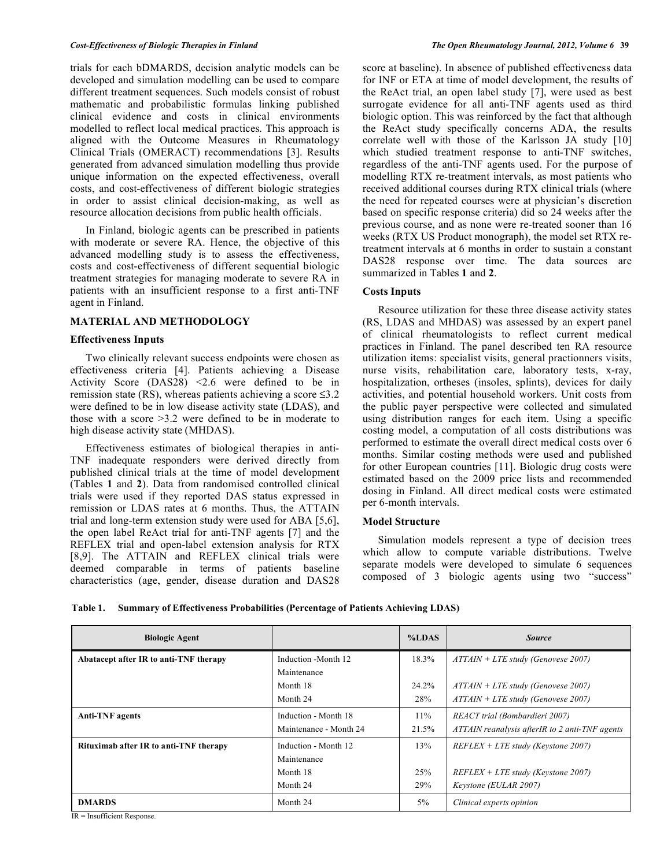trials for each bDMARDS, decision analytic models can be developed and simulation modelling can be used to compare different treatment sequences. Such models consist of robust mathematic and probabilistic formulas linking published clinical evidence and costs in clinical environments modelled to reflect local medical practices. This approach is aligned with the Outcome Measures in Rheumatology Clinical Trials (OMERACT) recommendations [3]. Results generated from advanced simulation modelling thus provide unique information on the expected effectiveness, overall costs, and cost-effectiveness of different biologic strategies in order to assist clinical decision-making, as well as resource allocation decisions from public health officials.

 In Finland, biologic agents can be prescribed in patients with moderate or severe RA. Hence, the objective of this advanced modelling study is to assess the effectiveness, costs and cost-effectiveness of different sequential biologic treatment strategies for managing moderate to severe RA in patients with an insufficient response to a first anti-TNF agent in Finland.

# **MATERIAL AND METHODOLOGY**

### **Effectiveness Inputs**

 Two clinically relevant success endpoints were chosen as effectiveness criteria [4]. Patients achieving a Disease Activity Score  $(DAS28)$  <2.6 were defined to be in remission state (RS), whereas patients achieving a score  $\leq 3.2$ were defined to be in low disease activity state (LDAS), and those with a score >3.2 were defined to be in moderate to high disease activity state (MHDAS).

 Effectiveness estimates of biological therapies in anti-TNF inadequate responders were derived directly from published clinical trials at the time of model development (Tables **1** and **2**). Data from randomised controlled clinical trials were used if they reported DAS status expressed in remission or LDAS rates at 6 months. Thus, the ATTAIN trial and long-term extension study were used for ABA [5,6], the open label ReAct trial for anti-TNF agents [7] and the REFLEX trial and open-label extension analysis for RTX [8,9]. The ATTAIN and REFLEX clinical trials were deemed comparable in terms of patients baseline characteristics (age, gender, disease duration and DAS28

score at baseline). In absence of published effectiveness data for INF or ETA at time of model development, the results of the ReAct trial, an open label study [7], were used as best surrogate evidence for all anti-TNF agents used as third biologic option. This was reinforced by the fact that although the ReAct study specifically concerns ADA, the results correlate well with those of the Karlsson JA study [10] which studied treatment response to anti-TNF switches, regardless of the anti-TNF agents used. For the purpose of modelling RTX re-treatment intervals, as most patients who received additional courses during RTX clinical trials (where the need for repeated courses were at physician's discretion based on specific response criteria) did so 24 weeks after the previous course, and as none were re-treated sooner than 16 weeks (RTX US Product monograph), the model set RTX retreatment intervals at 6 months in order to sustain a constant DAS28 response over time. The data sources are summarized in Tables **1** and **2**.

# **Costs Inputs**

 Resource utilization for these three disease activity states (RS, LDAS and MHDAS) was assessed by an expert panel of clinical rheumatologists to reflect current medical practices in Finland. The panel described ten RA resource utilization items: specialist visits, general practionners visits, nurse visits, rehabilitation care, laboratory tests, x-ray, hospitalization, ortheses (insoles, splints), devices for daily activities, and potential household workers. Unit costs from the public payer perspective were collected and simulated using distribution ranges for each item. Using a specific costing model, a computation of all costs distributions was performed to estimate the overall direct medical costs over 6 months. Similar costing methods were used and published for other European countries [11]. Biologic drug costs were estimated based on the 2009 price lists and recommended dosing in Finland. All direct medical costs were estimated per 6-month intervals.

# **Model Structure**

 Simulation models represent a type of decision trees which allow to compute variable distributions. Twelve separate models were developed to simulate 6 sequences composed of 3 biologic agents using two "success"

|  | Table 1. Summary of Effectiveness Probabilities (Percentage of Patients Achieving LDAS) |  |  |  |
|--|-----------------------------------------------------------------------------------------|--|--|--|
|--|-----------------------------------------------------------------------------------------|--|--|--|

| <b>Biologic Agent</b>                  |                        | %LDAS | <b>Source</b>                                  |
|----------------------------------------|------------------------|-------|------------------------------------------------|
| Abatacept after IR to anti-TNF therapy | Induction -Month 12    | 18.3% | $ATTAIN + LTE$ study (Genovese 2007)           |
|                                        | Maintenance            |       |                                                |
|                                        | Month 18               | 24.2% | $ATTAIN + LTE$ study (Genovese 2007)           |
|                                        | Month 24               | 28%   | $ATTAIN + LTE$ study (Genovese 2007)           |
| <b>Anti-TNF</b> agents                 | Induction - Month 18   | 11%   | REACT trial (Bombardieri 2007)                 |
|                                        | Maintenance - Month 24 | 21.5% | ATTAIN reanalysis afterIR to 2 anti-TNF agents |
| Rituximab after IR to anti-TNF therapy | Induction - Month 12   | 13%   | $REFLEX + LTE$ study (Keystone 2007)           |
|                                        | Maintenance            |       |                                                |
|                                        | Month 18               | 25%   | $REFLEX + LTE$ study (Keystone 2007)           |
|                                        | Month 24               | 29%   | Keystone (EULAR 2007)                          |
| <b>DMARDS</b>                          | Month 24               | $5\%$ | Clinical experts opinion                       |

IR = Insufficient Response.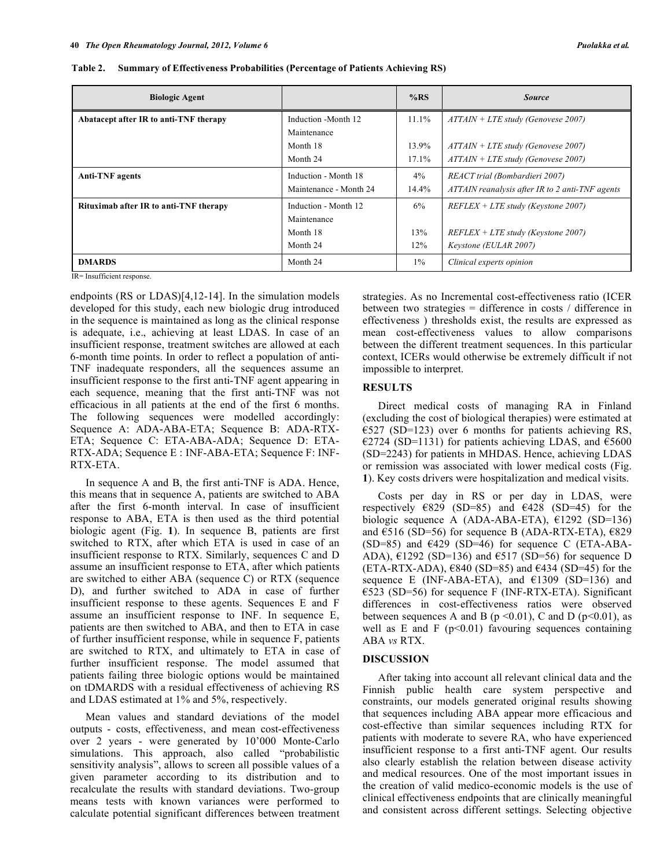| <b>Biologic Agent</b>                  |                        | %RS   | <b>Source</b>                                   |
|----------------------------------------|------------------------|-------|-------------------------------------------------|
| Abatacept after IR to anti-TNF therapy | Induction -Month 12    | 11.1% | $ATTAIN + LTE$ study (Genovese 2007)            |
|                                        | Maintenance            |       |                                                 |
|                                        | Month 18               | 13.9% | $ATTAIN + LTE$ study (Genovese 2007)            |
|                                        | Month 24               | 17.1% | $ATTAIN + LTE$ study (Genovese 2007)            |
| <b>Anti-TNF</b> agents                 | Induction - Month 18   | $4\%$ | REACT trial (Bombardieri 2007)                  |
|                                        | Maintenance - Month 24 | 14.4% | ATTAIN reanalysis after IR to 2 anti-TNF agents |
| Rituximab after IR to anti-TNF therapy | Induction - Month 12   | 6%    | $REFLEX + LTE$ study (Keystone 2007)            |
|                                        | Maintenance            |       |                                                 |
|                                        | Month 18               | 13%   | $REFLEX + LTE$ study (Keystone 2007)            |
|                                        | Month 24               | 12%   | Keystone (EULAR 2007)                           |
| <b>DMARDS</b>                          | Month 24               | $1\%$ | Clinical experts opinion                        |

| Table 2. Summary of Effectiveness Probabilities (Percentage of Patients Achieving RS) |  |
|---------------------------------------------------------------------------------------|--|
|                                                                                       |  |

IR= Insufficient response.

endpoints (RS or LDAS)[4,12-14]. In the simulation models developed for this study, each new biologic drug introduced in the sequence is maintained as long as the clinical response is adequate, i.e., achieving at least LDAS. In case of an insufficient response, treatment switches are allowed at each 6-month time points. In order to reflect a population of anti-TNF inadequate responders, all the sequences assume an insufficient response to the first anti-TNF agent appearing in each sequence, meaning that the first anti-TNF was not efficacious in all patients at the end of the first 6 months. The following sequences were modelled accordingly: Sequence A: ADA-ABA-ETA; Sequence B: ADA-RTX-ETA; Sequence C: ETA-ABA-ADA; Sequence D: ETA-RTX-ADA; Sequence E : INF-ABA-ETA; Sequence F: INF-RTX-ETA.

 In sequence A and B, the first anti-TNF is ADA. Hence, this means that in sequence A, patients are switched to ABA after the first 6-month interval. In case of insufficient response to ABA, ETA is then used as the third potential biologic agent (Fig. **1**). In sequence B, patients are first switched to RTX, after which ETA is used in case of an insufficient response to RTX. Similarly, sequences C and D assume an insufficient response to ETA, after which patients are switched to either ABA (sequence C) or RTX (sequence D), and further switched to ADA in case of further insufficient response to these agents. Sequences E and F assume an insufficient response to INF. In sequence E, patients are then switched to ABA, and then to ETA in case of further insufficient response, while in sequence F, patients are switched to RTX, and ultimately to ETA in case of further insufficient response. The model assumed that patients failing three biologic options would be maintained on tDMARDS with a residual effectiveness of achieving RS and LDAS estimated at 1% and 5%, respectively.

 Mean values and standard deviations of the model outputs - costs, effectiveness, and mean cost-effectiveness over 2 years - were generated by 10'000 Monte-Carlo simulations. This approach, also called "probabilistic sensitivity analysis", allows to screen all possible values of a given parameter according to its distribution and to recalculate the results with standard deviations. Two-group means tests with known variances were performed to calculate potential significant differences between treatment strategies. As no Incremental cost-effectiveness ratio (ICER between two strategies = difference in costs / difference in effectiveness ) thresholds exist, the results are expressed as mean cost-effectiveness values to allow comparisons between the different treatment sequences. In this particular context, ICERs would otherwise be extremely difficult if not impossible to interpret.

#### **RESULTS**

 Direct medical costs of managing RA in Finland (excluding the cost of biological therapies) were estimated at  $\epsilon$ 527 (SD=123) over 6 months for patients achieving RS,  $\epsilon$ 2724 (SD=1131) for patients achieving LDAS, and  $\epsilon$ 5600 (SD=2243) for patients in MHDAS. Hence, achieving LDAS or remission was associated with lower medical costs (Fig. **1**). Key costs drivers were hospitalization and medical visits.

 Costs per day in RS or per day in LDAS, were respectively  $E829$  (SD=85) and  $E428$  (SD=45) for the biologic sequence A (ADA-ABA-ETA),  $\epsilon$ 1292 (SD=136) and  $\epsilon$ 516 (SD=56) for sequence B (ADA-RTX-ETA),  $\epsilon$ 829 (SD=85) and  $E(429)$  (SD=46) for sequence C (ETA-ABA-ADA),  $\epsilon$ 1292 (SD=136) and  $\epsilon$ 517 (SD=56) for sequence D (ETA-RTX-ADA),  $6840$  (SD=85) and  $6434$  (SD=45) for the sequence E (INF-ABA-ETA), and  $\epsilon$ 1309 (SD=136) and  $\epsilon$ 523 (SD=56) for sequence F (INF-RTX-ETA). Significant differences in cost-effectiveness ratios were observed between sequences A and B ( $p \le 0.01$ ), C and D ( $p \le 0.01$ ), as well as E and F  $(p<0.01)$  favouring sequences containing ABA *vs* RTX.

#### **DISCUSSION**

 After taking into account all relevant clinical data and the Finnish public health care system perspective and constraints, our models generated original results showing that sequences including ABA appear more efficacious and cost-effective than similar sequences including RTX for patients with moderate to severe RA, who have experienced insufficient response to a first anti-TNF agent. Our results also clearly establish the relation between disease activity and medical resources. One of the most important issues in the creation of valid medico-economic models is the use of clinical effectiveness endpoints that are clinically meaningful and consistent across different settings. Selecting objective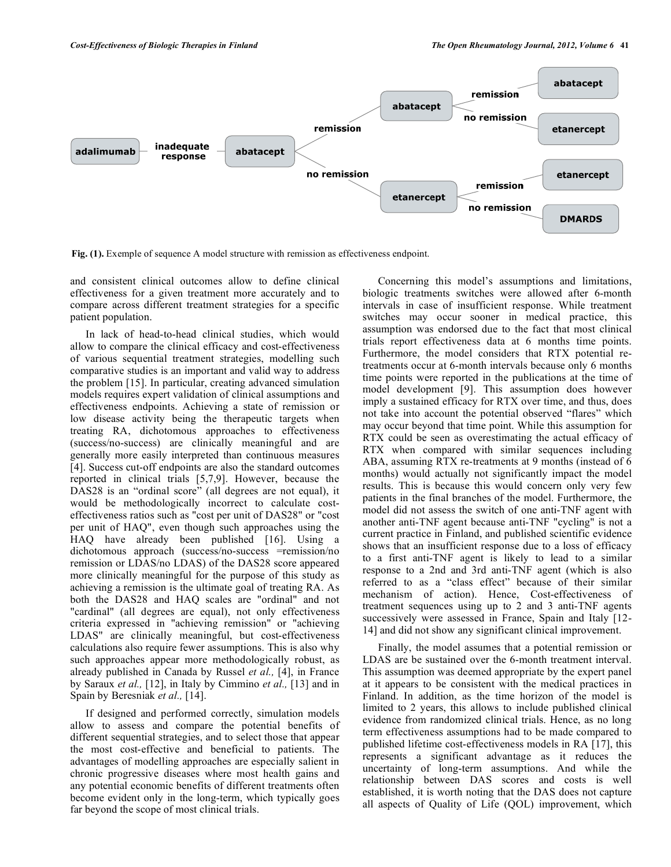

**Fig. (1).** Exemple of sequence A model structure with remission as effectiveness endpoint.

and consistent clinical outcomes allow to define clinical effectiveness for a given treatment more accurately and to compare across different treatment strategies for a specific patient population.

 In lack of head-to-head clinical studies, which would allow to compare the clinical efficacy and cost-effectiveness of various sequential treatment strategies, modelling such comparative studies is an important and valid way to address the problem [15]. In particular, creating advanced simulation models requires expert validation of clinical assumptions and effectiveness endpoints. Achieving a state of remission or low disease activity being the therapeutic targets when treating RA, dichotomous approaches to effectiveness (success/no-success) are clinically meaningful and are generally more easily interpreted than continuous measures [4]. Success cut-off endpoints are also the standard outcomes reported in clinical trials [5,7,9]. However, because the DAS28 is an "ordinal score" (all degrees are not equal), it would be methodologically incorrect to calculate costeffectiveness ratios such as "cost per unit of DAS28" or "cost per unit of HAQ", even though such approaches using the HAQ have already been published [16]. Using a dichotomous approach (success/no-success =remission/no remission or LDAS/no LDAS) of the DAS28 score appeared more clinically meaningful for the purpose of this study as achieving a remission is the ultimate goal of treating RA. As both the DAS28 and HAQ scales are "ordinal" and not "cardinal" (all degrees are equal), not only effectiveness criteria expressed in "achieving remission" or "achieving LDAS" are clinically meaningful, but cost-effectiveness calculations also require fewer assumptions. This is also why such approaches appear more methodologically robust, as already published in Canada by Russel *et al.,* [4], in France by Saraux *et al.,* [12], in Italy by Cimmino *et al.,* [13] and in Spain by Beresniak *et al.,* [14].

 If designed and performed correctly, simulation models allow to assess and compare the potential benefits of different sequential strategies, and to select those that appear the most cost-effective and beneficial to patients. The advantages of modelling approaches are especially salient in chronic progressive diseases where most health gains and any potential economic benefits of different treatments often become evident only in the long-term, which typically goes far beyond the scope of most clinical trials.

 Concerning this model's assumptions and limitations, biologic treatments switches were allowed after 6-month intervals in case of insufficient response. While treatment switches may occur sooner in medical practice, this assumption was endorsed due to the fact that most clinical trials report effectiveness data at 6 months time points. Furthermore, the model considers that RTX potential retreatments occur at 6-month intervals because only 6 months time points were reported in the publications at the time of model development [9]. This assumption does however imply a sustained efficacy for RTX over time, and thus, does not take into account the potential observed "flares" which may occur beyond that time point. While this assumption for RTX could be seen as overestimating the actual efficacy of RTX when compared with similar sequences including ABA, assuming RTX re-treatments at 9 months (instead of 6 months) would actually not significantly impact the model results. This is because this would concern only very few patients in the final branches of the model. Furthermore, the model did not assess the switch of one anti-TNF agent with another anti-TNF agent because anti-TNF "cycling" is not a current practice in Finland, and published scientific evidence shows that an insufficient response due to a loss of efficacy to a first anti-TNF agent is likely to lead to a similar response to a 2nd and 3rd anti-TNF agent (which is also referred to as a "class effect" because of their similar mechanism of action). Hence, Cost-effectiveness of treatment sequences using up to 2 and 3 anti-TNF agents successively were assessed in France, Spain and Italy [12- 14] and did not show any significant clinical improvement.

 Finally, the model assumes that a potential remission or LDAS are be sustained over the 6-month treatment interval. This assumption was deemed appropriate by the expert panel at it appears to be consistent with the medical practices in Finland. In addition, as the time horizon of the model is limited to 2 years, this allows to include published clinical evidence from randomized clinical trials. Hence, as no long term effectiveness assumptions had to be made compared to published lifetime cost-effectiveness models in RA [17], this represents a significant advantage as it reduces the uncertainty of long-term assumptions. And while the relationship between DAS scores and costs is well established, it is worth noting that the DAS does not capture all aspects of Quality of Life (QOL) improvement, which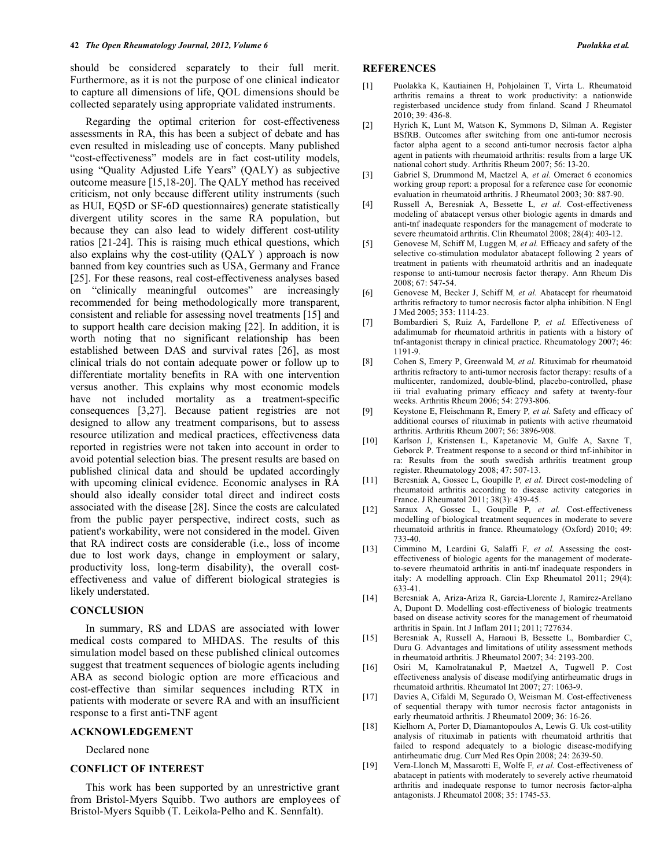should be considered separately to their full merit. Furthermore, as it is not the purpose of one clinical indicator to capture all dimensions of life, QOL dimensions should be collected separately using appropriate validated instruments.

 Regarding the optimal criterion for cost-effectiveness assessments in RA, this has been a subject of debate and has even resulted in misleading use of concepts. Many published "cost-effectiveness" models are in fact cost-utility models, using "Quality Adjusted Life Years" (QALY) as subjective outcome measure [15,18-20]. The QALY method has received criticism, not only because different utility instruments (such as HUI, EQ5D or SF-6D questionnaires) generate statistically divergent utility scores in the same RA population, but because they can also lead to widely different cost-utility ratios [21-24]. This is raising much ethical questions, which also explains why the cost-utility (QALY ) approach is now banned from key countries such as USA, Germany and France [25]. For these reasons, real cost-effectiveness analyses based on "clinically meaningful outcomes" are increasingly recommended for being methodologically more transparent, consistent and reliable for assessing novel treatments [15] and to support health care decision making [22]. In addition, it is worth noting that no significant relationship has been established between DAS and survival rates [26], as most clinical trials do not contain adequate power or follow up to differentiate mortality benefits in RA with one intervention versus another. This explains why most economic models have not included mortality as a treatment-specific consequences [3,27]. Because patient registries are not designed to allow any treatment comparisons, but to assess resource utilization and medical practices, effectiveness data reported in registries were not taken into account in order to avoid potential selection bias. The present results are based on published clinical data and should be updated accordingly with upcoming clinical evidence. Economic analyses in RA should also ideally consider total direct and indirect costs associated with the disease [28]. Since the costs are calculated from the public payer perspective, indirect costs, such as patient's workability, were not considered in the model. Given that RA indirect costs are considerable (i.e., loss of income due to lost work days, change in employment or salary, productivity loss, long-term disability), the overall costeffectiveness and value of different biological strategies is likely understated.

## **CONCLUSION**

 In summary, RS and LDAS are associated with lower medical costs compared to MHDAS. The results of this simulation model based on these published clinical outcomes suggest that treatment sequences of biologic agents including ABA as second biologic option are more efficacious and cost-effective than similar sequences including RTX in patients with moderate or severe RA and with an insufficient response to a first anti-TNF agent

#### **ACKNOWLEDGEMENT**

Declared none

#### **CONFLICT OF INTEREST**

 This work has been supported by an unrestrictive grant from Bristol-Myers Squibb. Two authors are employees of Bristol-Myers Squibb (T. Leikola-Pelho and K. Sennfalt).

#### **REFERENCES**

- [1] Puolakka K, Kautiainen H, Pohjolainen T, Virta L. Rheumatoid arthritis remains a threat to work productivity: a nationwide registerbased uncidence study from finland. Scand J Rheumatol 2010; 39: 436-8.
- [2] Hyrich K, Lunt M, Watson K, Symmons D, Silman A. Register BSfRB. Outcomes after switching from one anti-tumor necrosis factor alpha agent to a second anti-tumor necrosis factor alpha agent in patients with rheumatoid arthritis: results from a large UK national cohort study. Arthritis Rheum 2007; 56: 13-20.
- [3] Gabriel S, Drummond M, Maetzel A*, et al.* Omeract 6 economics working group report: a proposal for a reference case for economic evaluation in rheumatoid arthritis. J Rheumatol 2003; 30: 887-90.
- [4] Russell A, Beresniak A, Bessette L*, et al.* Cost-effectiveness modeling of abatacept versus other biologic agents in dmards and anti-tnf inadequate responders for the management of moderate to severe rheumatoid arthritis. Clin Rheumatol 2008; 28(4): 403-12.
- [5] Genovese M, Schiff M, Luggen M*, et al.* Efficacy and safety of the selective co-stimulation modulator abatacept following 2 years of treatment in patients with rheumatoid arthritis and an inadequate response to anti-tumour necrosis factor therapy. Ann Rheum Dis 2008; 67: 547-54.
- [6] Genovese M, Becker J, Schiff M*, et al.* Abatacept for rheumatoid arthritis refractory to tumor necrosis factor alpha inhibition. N Engl J Med 2005; 353: 1114-23.
- [7] Bombardieri S, Ruiz A, Fardellone P*, et al.* Effectiveness of adalimumab for rheumatoid arthritis in patients with a history of tnf-antagonist therapy in clinical practice. Rheumatology 2007; 46: 1191-9.
- [8] Cohen S, Emery P, Greenwald M*, et al.* Rituximab for rheumatoid arthritis refractory to anti-tumor necrosis factor therapy: results of a multicenter, randomized, double-blind, placebo-controlled, phase iii trial evaluating primary efficacy and safety at twenty-four weeks. Arthritis Rheum 2006; 54: 2793-806.
- [9] Keystone E, Fleischmann R, Emery P*, et al.* Safety and efficacy of additional courses of rituximab in patients with active rheumatoid arthritis. Arthritis Rheum 2007; 56: 3896-908.
- [10] Karlson J, Kristensen L, Kapetanovic M, Gulfe A, Saxne T, Geborck P. Treatment response to a second or third tnf-inhibitor in ra: Results from the south swedish arthritis treatment group register. Rheumatology 2008; 47: 507-13.
- [11] Beresniak A, Gossec L, Goupille P*, et al.* Direct cost-modeling of rheumatoid arthritis according to disease activity categories in France. J Rheumatol 2011; 38(3): 439-45.
- [12] Saraux A, Gossec L, Goupille P*, et al.* Cost-effectiveness modelling of biological treatment sequences in moderate to severe rheumatoid arthritis in france. Rheumatology (Oxford) 2010; 49: 733-40.
- [13] Cimmino M, Leardini G, Salaffi F*, et al.* Assessing the costeffectiveness of biologic agents for the management of moderateto-severe rheumatoid arthritis in anti-tnf inadequate responders in italy: A modelling approach. Clin Exp Rheumatol 2011; 29(4): 633-41.
- [14] Beresniak A, Ariza-Ariza R, Garcia-Llorente J, Ramirez-Arellano A, Dupont D. Modelling cost-effectiveness of biologic treatments based on disease activity scores for the management of rheumatoid arthritis in Spain. Int J Inflam 2011; 2011; 727634.
- [15] Beresniak A, Russell A, Haraoui B, Bessette L, Bombardier C, Duru G. Advantages and limitations of utility assessment methods in rheumatoid arthritis. J Rheumatol 2007; 34: 2193-200.
- [16] Osiri M, Kamolratanakul P, Maetzel A, Tugwell P. Cost effectiveness analysis of disease modifying antirheumatic drugs in rheumatoid arthritis. Rheumatol Int 2007; 27: 1063-9.
- [17] Davies A, Cifaldi M, Segurado O, Weisman M. Cost-effectiveness of sequential therapy with tumor necrosis factor antagonists in early rheumatoid arthritis. J Rheumatol 2009; 36: 16-26.
- [18] Kielhorn A, Porter D, Diamantopoulos A, Lewis G. Uk cost-utility analysis of rituximab in patients with rheumatoid arthritis that failed to respond adequately to a biologic disease-modifying antirheumatic drug. Curr Med Res Opin 2008; 24: 2639-50.
- [19] Vera-Llonch M, Massarotti E, Wolfe F*, et al.* Cost-effectiveness of abatacept in patients with moderately to severely active rheumatoid arthritis and inadequate response to tumor necrosis factor-alpha antagonists. J Rheumatol 2008; 35: 1745-53.